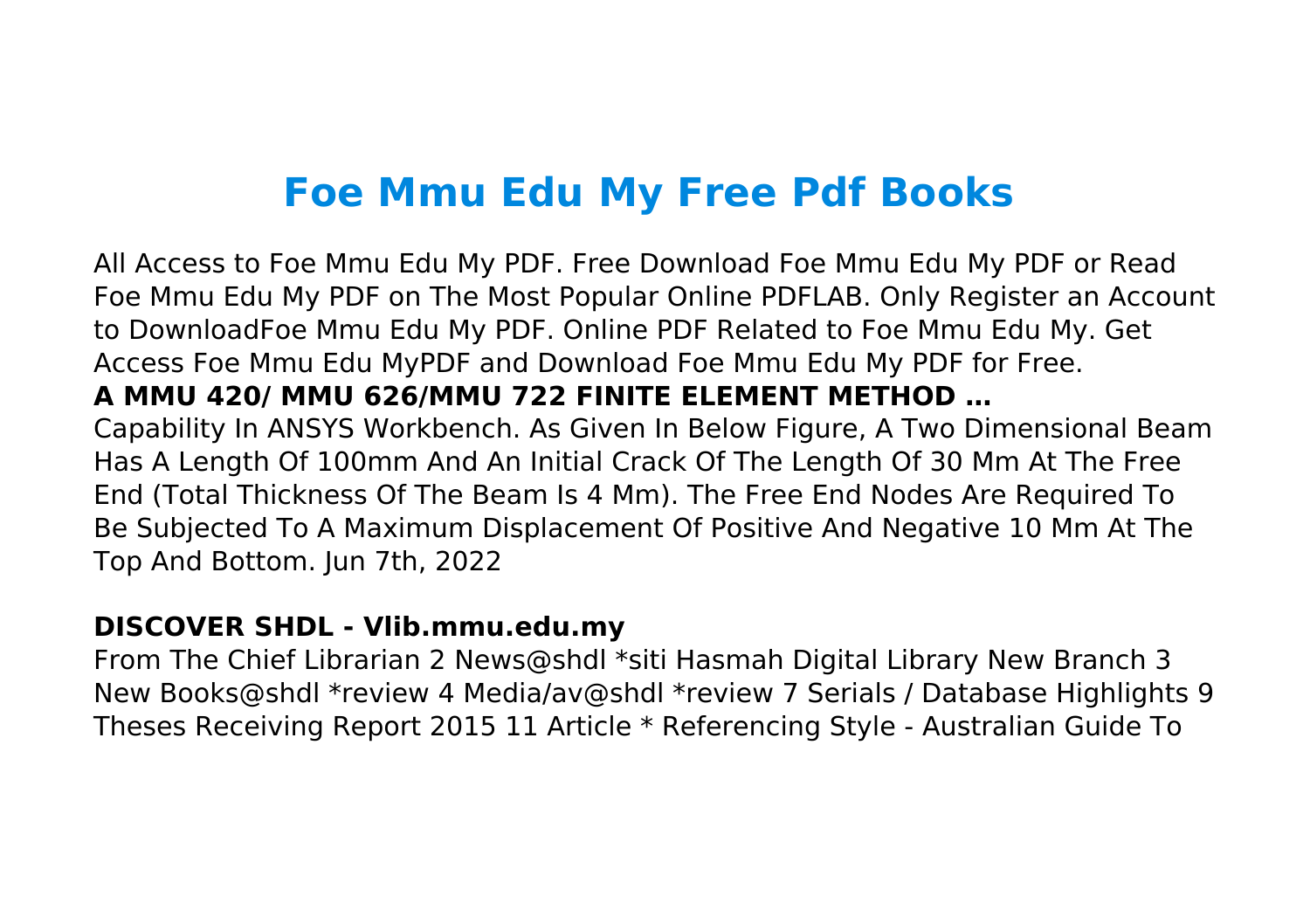# **Foe Mmu Edu My Free Pdf Books**

All Access to Foe Mmu Edu My PDF. Free Download Foe Mmu Edu My PDF or Read Foe Mmu Edu My PDF on The Most Popular Online PDFLAB. Only Register an Account to DownloadFoe Mmu Edu My PDF. Online PDF Related to Foe Mmu Edu My. Get Access Foe Mmu Edu MyPDF and Download Foe Mmu Edu My PDF for Free. **A MMU 420/ MMU 626/MMU 722 FINITE ELEMENT METHOD …** Capability In ANSYS Workbench. As Given In Below Figure, A Two Dimensional Beam Has A Length Of 100mm And An Initial Crack Of The Length Of 30 Mm At The Free End (Total Thickness Of The Beam Is 4 Mm). The Free End Nodes Are Required To Be Subjected To A Maximum Displacement Of Positive And Negative 10 Mm At The Top And Bottom. Jun 7th, 2022

#### **DISCOVER SHDL - Vlib.mmu.edu.my**

From The Chief Librarian 2 News@shdl \*siti Hasmah Digital Library New Branch 3 New Books@shdl \*review 4 Media/av@shdl \*review 7 Serials / Database Highlights 9 Theses Receiving Report 2015 11 Article \* Referencing Style - Australian Guide To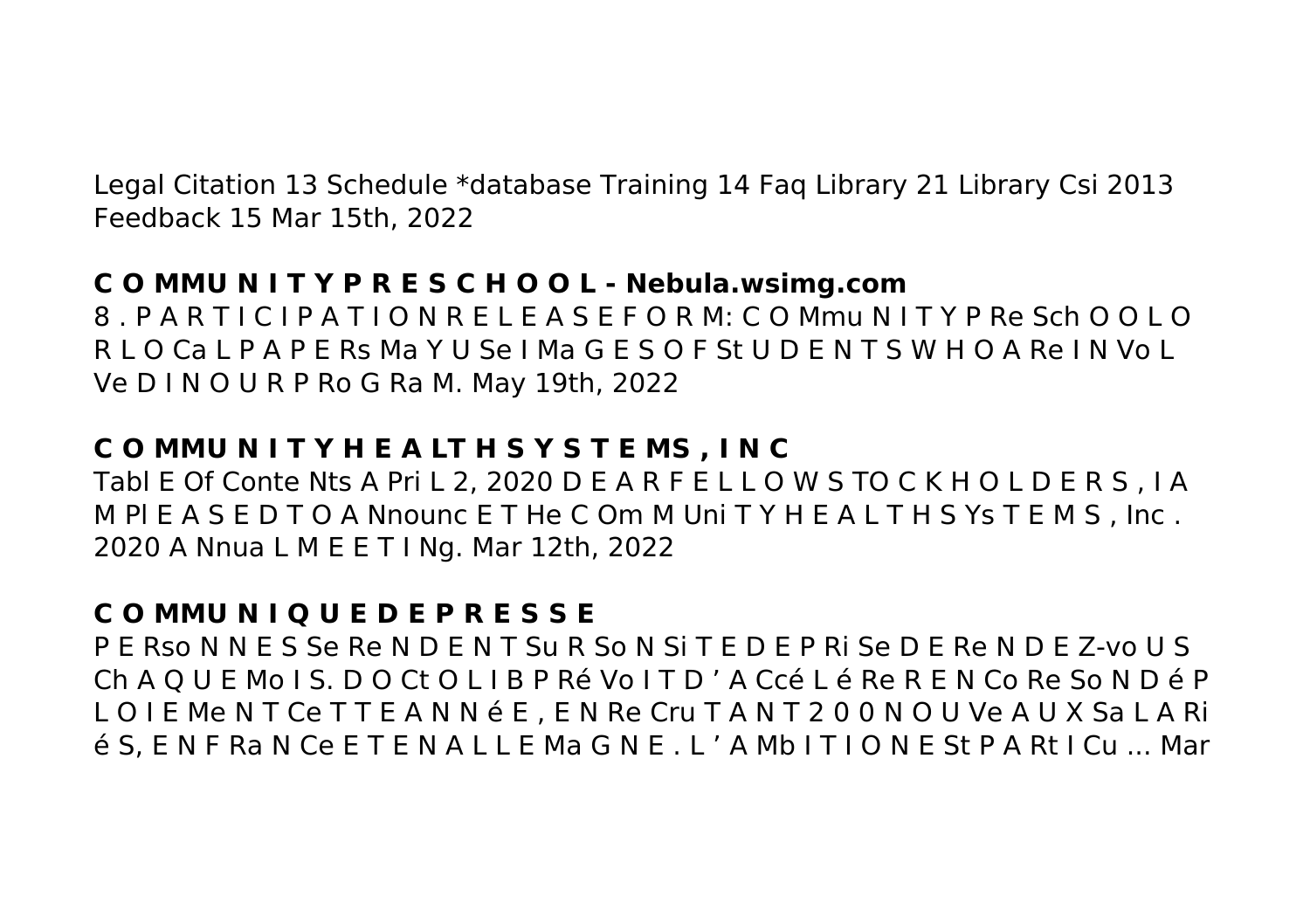Legal Citation 13 Schedule \*database Training 14 Faq Library 21 Library Csi 2013 Feedback 15 Mar 15th, 2022

#### **C O MMU N I T Y P R E S C H O O L - Nebula.wsimg.com**

8 . P A R T I C I P A T I O N R E L E A S E F O R M: C O Mmu N I T Y P Re Sch O O L O R L O Ca L P A P E Rs Ma Y U Se I Ma G E S O F St U D E N T S W H O A Re I N Vo L Ve D I N O U R P Ro G Ra M. May 19th, 2022

#### **C O MMU N I T Y H E A LT H S Y S T E MS , I N C**

Tabl E Of Conte Nts A Pri L 2, 2020 D E A R F E L L O W S TO C K H O L D E R S , I A M Pl E A S E D T O A Nnounc E T He C Om M Uni T Y H E A L T H S Ys T E M S , Inc . 2020 A Nnua L M E E T I Ng. Mar 12th, 2022

# **C O MMU N I Q U E D E P R E S S E**

P E Rso N N E S Se Re N D E N T Su R So N Si T E D E P Ri Se D E Re N D E Z-vo U S Ch A Q U E Mo I S. D O Ct O L I B P Ré Vo I T D ' A Ccé L é Re R E N Co Re So N D é P L O I E Me N T Ce T T E A N N é E , E N Re Cru T A N T 2 0 0 N O U Ve A U X Sa L A Ri é S, E N F Ra N Ce E T E N A L L E Ma G N E . L ' A Mb I T I O N E St P A Rt I Cu ... Mar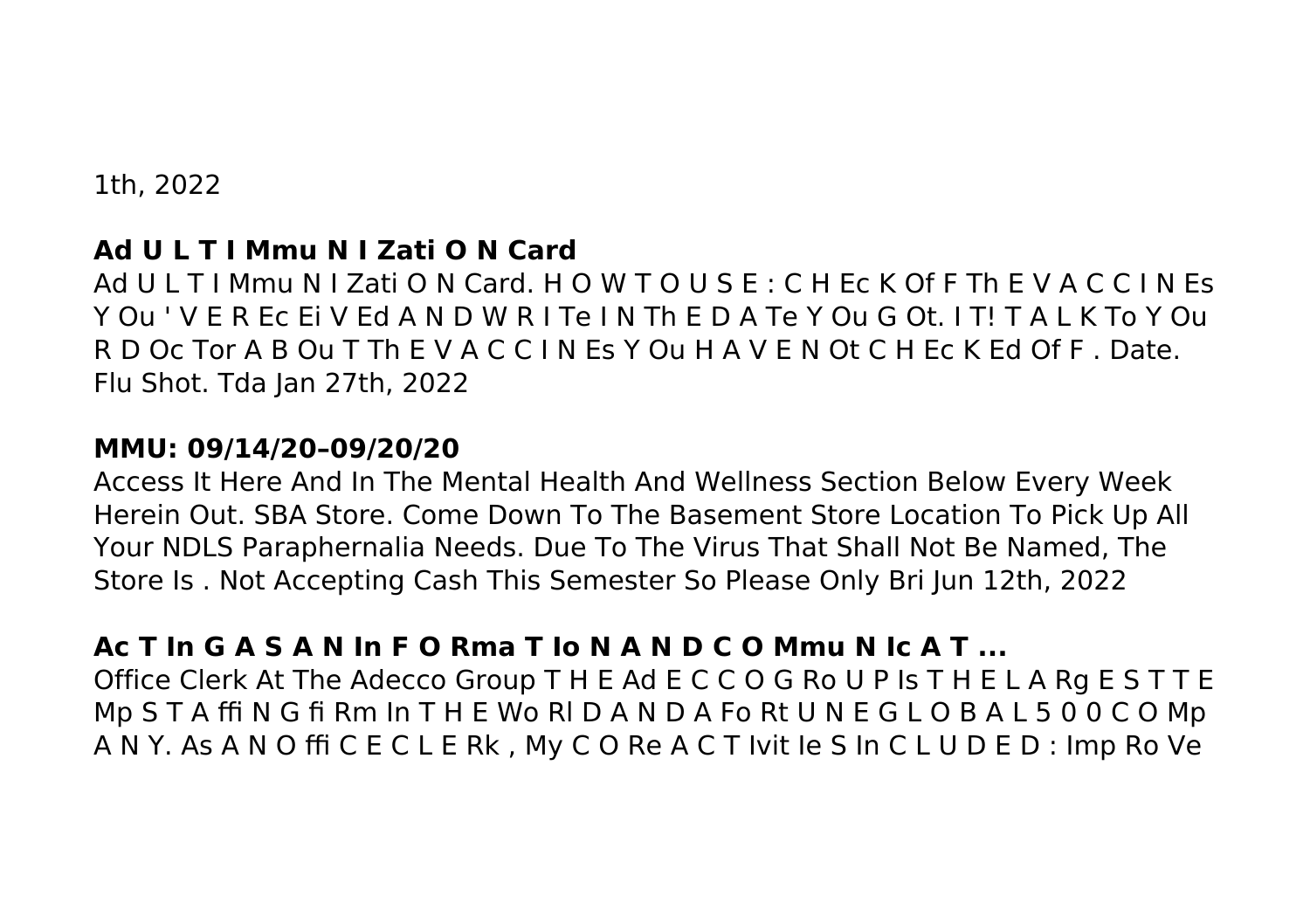1th, 2022

## **Ad U L T I Mmu N I Zati O N Card**

Ad U L T I Mmu N I Zati O N Card. H O W T O U S E : C H Ec K Of F Th E V A C C I N Es Y Ou ' V E R Ec Ei V Ed A N D W R I Te I N Th E D A Te Y Ou G Ot. I T! T A L K To Y Ou R D Oc Tor A B Ou T Th E V A C C I N Es Y Ou H A V E N Ot C H Ec K Ed Of F . Date. Flu Shot. Tda Jan 27th, 2022

#### **MMU: 09/14/20–09/20/20**

Access It Here And In The Mental Health And Wellness Section Below Every Week Herein Out. SBA Store. Come Down To The Basement Store Location To Pick Up All Your NDLS Paraphernalia Needs. Due To The Virus That Shall Not Be Named, The Store Is . Not Accepting Cash This Semester So Please Only Bri Jun 12th, 2022

## **Ac T In G A S A N In F O Rma T Io N A N D C O Mmu N Ic A T ...**

Office Clerk At The Adecco Group T H E Ad E C C O G Ro U P Is T H E L A Rg E S T T E Mp S T A ffi N G fi Rm In T H E Wo Rl D A N D A Fo Rt U N E G L O B A L 5 0 0 C O Mp A N Y. As A N O ffi C E C L E Rk , My C O Re A C T Ivit Ie S In C L U D E D : Imp Ro Ve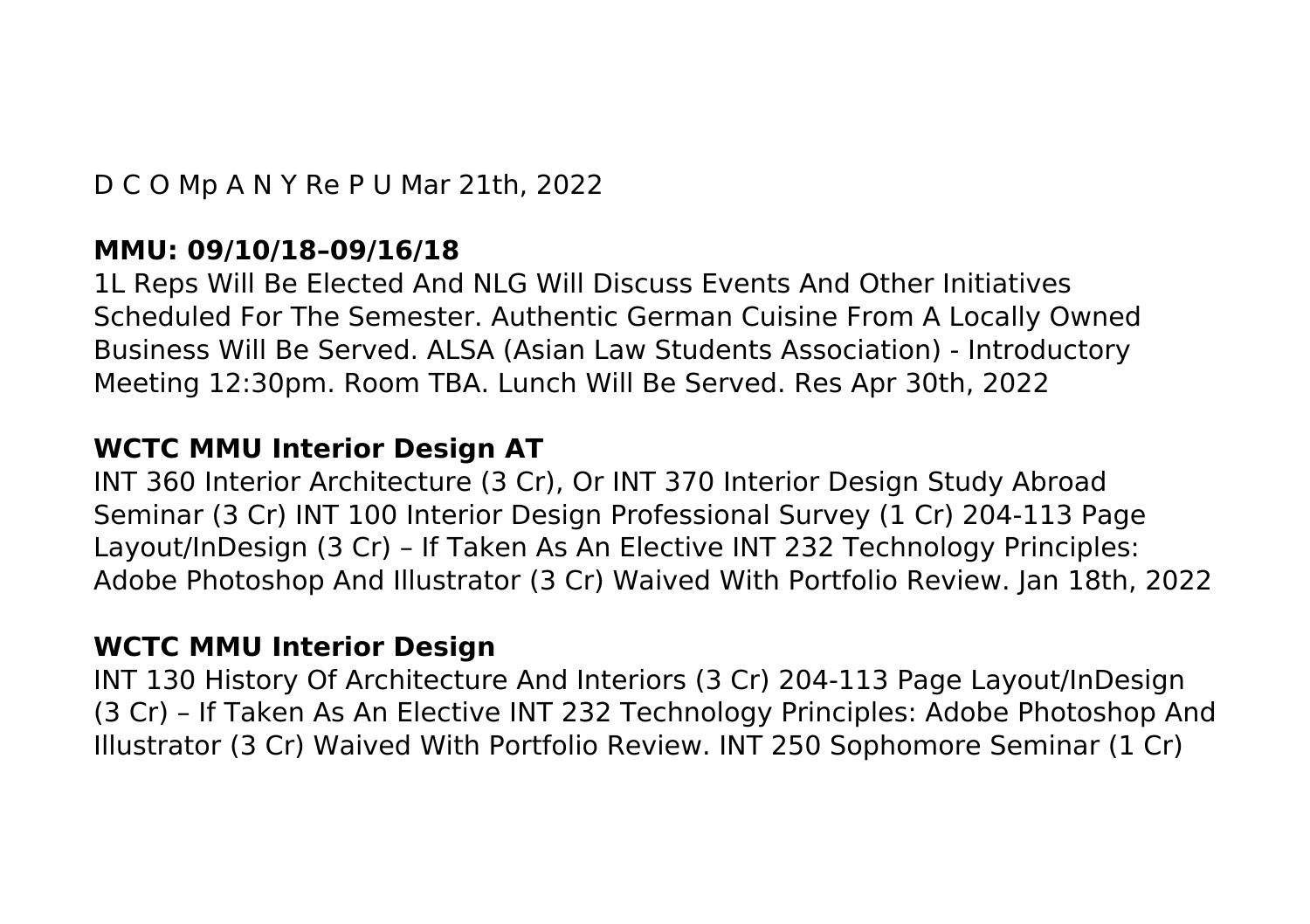D C O Mp A N Y Re P U Mar 21th, 2022

#### **MMU: 09/10/18–09/16/18**

1L Reps Will Be Elected And NLG Will Discuss Events And Other Initiatives Scheduled For The Semester. Authentic German Cuisine From A Locally Owned Business Will Be Served. ALSA (Asian Law Students Association) - Introductory Meeting 12:30pm. Room TBA. Lunch Will Be Served. Res Apr 30th, 2022

#### **WCTC MMU Interior Design AT**

INT 360 Interior Architecture (3 Cr), Or INT 370 Interior Design Study Abroad Seminar (3 Cr) INT 100 Interior Design Professional Survey (1 Cr) 204-113 Page Layout/InDesign (3 Cr) – If Taken As An Elective INT 232 Technology Principles: Adobe Photoshop And Illustrator (3 Cr) Waived With Portfolio Review. Jan 18th, 2022

#### **WCTC MMU Interior Design**

INT 130 History Of Architecture And Interiors (3 Cr) 204-113 Page Layout/InDesign (3 Cr) – If Taken As An Elective INT 232 Technology Principles: Adobe Photoshop And Illustrator (3 Cr) Waived With Portfolio Review. INT 250 Sophomore Seminar (1 Cr)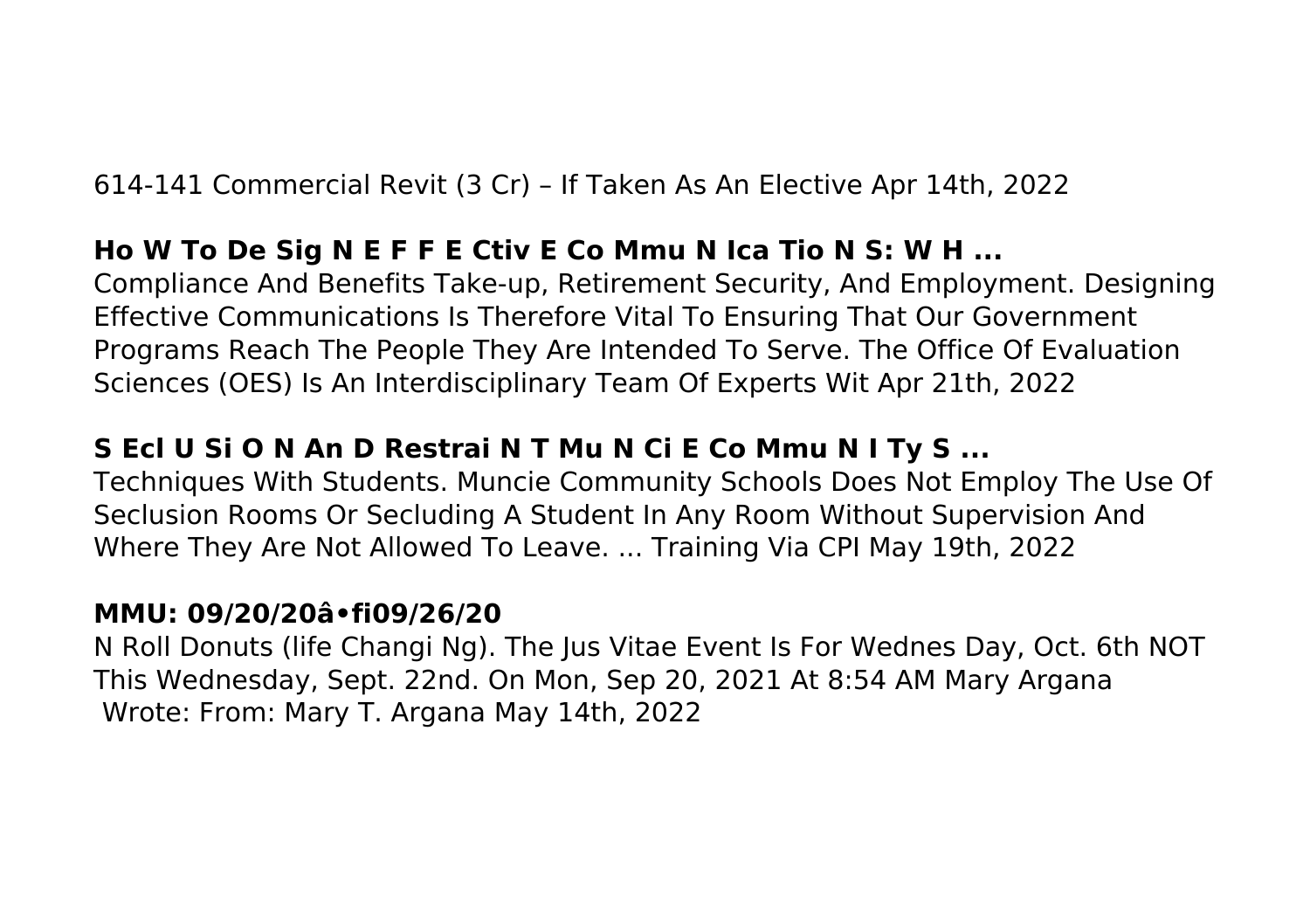614-141 Commercial Revit (3 Cr) – If Taken As An Elective Apr 14th, 2022

## **Ho W To De Sig N E F F E Ctiv E Co Mmu N Ica Tio N S: W H ...**

Compliance And Benefits Take-up, Retirement Security, And Employment. Designing Effective Communications Is Therefore Vital To Ensuring That Our Government Programs Reach The People They Are Intended To Serve. The Office Of Evaluation Sciences (OES) Is An Interdisciplinary Team Of Experts Wit Apr 21th, 2022

# **S Ecl U Si O N An D Restrai N T Mu N Ci E Co Mmu N I Ty S ...**

Techniques With Students. Muncie Community Schools Does Not Employ The Use Of Seclusion Rooms Or Secluding A Student In Any Room Without Supervision And Where They Are Not Allowed To Leave. ... Training Via CPI May 19th, 2022

## **MMU: 09/20/20â•fi09/26/20**

N Roll Donuts (life Changi Ng). The Jus Vitae Event Is For Wednes Day, Oct. 6th NOT This Wednesday, Sept. 22nd. On Mon, Sep 20, 2021 At 8:54 AM Mary Argana Wrote: From: Mary T. Argana May 14th, 2022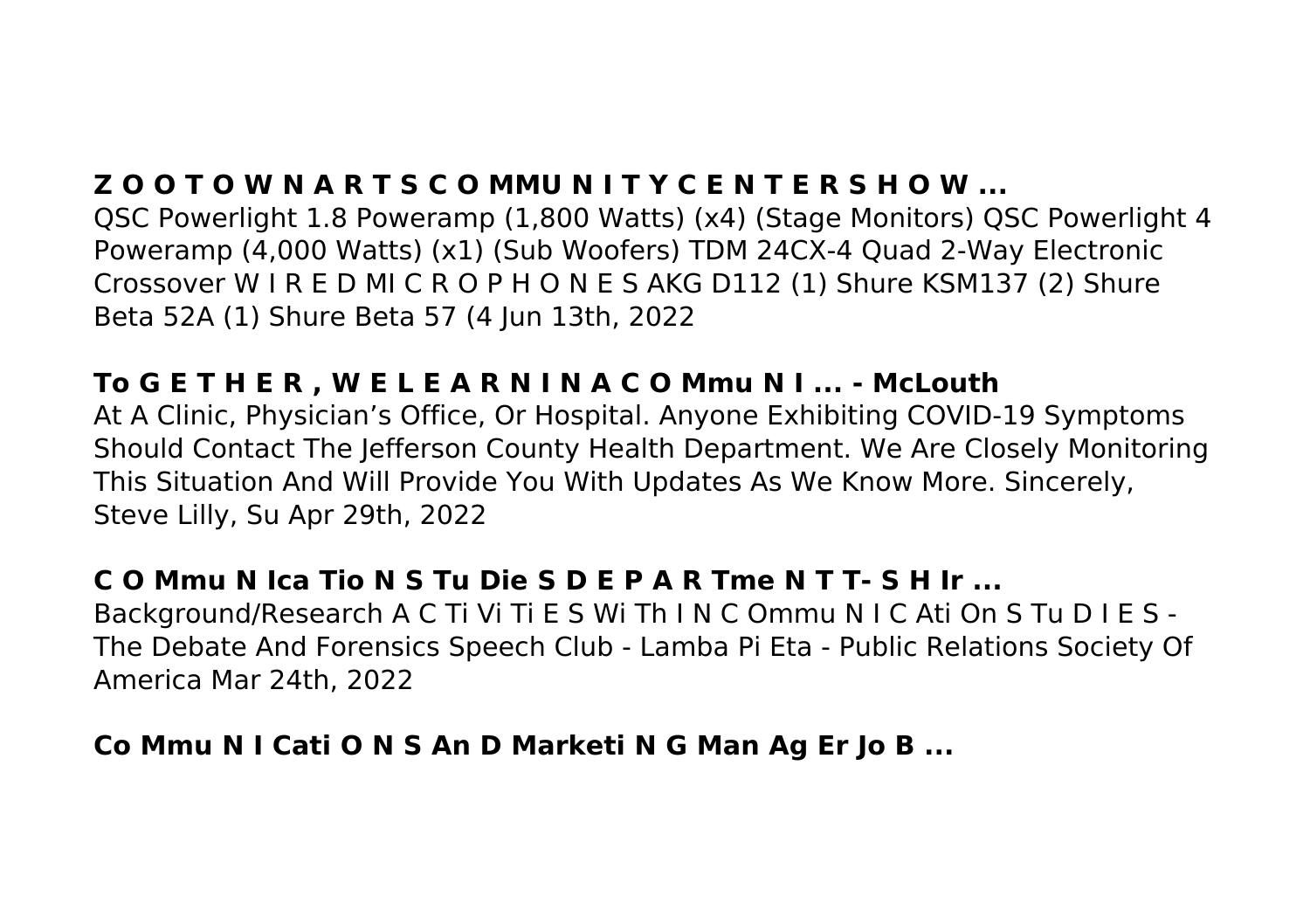# **Z O O T O W N A R T S C O MMU N I T Y C E N T E R S H O W ...**

QSC Powerlight 1.8 Poweramp (1,800 Watts) (x4) (Stage Monitors) QSC Powerlight 4 Poweramp (4,000 Watts) (x1) (Sub Woofers) TDM 24CX-4 Quad 2-Way Electronic Crossover W I R E D MI C R O P H O N E S AKG D112 (1) Shure KSM137 (2) Shure Beta 52A (1) Shure Beta 57 (4 Jun 13th, 2022

#### **To G E T H E R , W E L E A R N I N A C O Mmu N I ... - McLouth**

At A Clinic, Physician's Office, Or Hospital. Anyone Exhibiting COVID-19 Symptoms Should Contact The Jefferson County Health Department. We Are Closely Monitoring This Situation And Will Provide You With Updates As We Know More. Sincerely, Steve Lilly, Su Apr 29th, 2022

## **C O Mmu N Ica Tio N S Tu Die S D E P A R Tme N T T- S H Ir ...**

Background/Research A C Ti Vi Ti E S Wi Th I N C Ommu N I C Ati On S Tu D I E S - The Debate And Forensics Speech Club - Lamba Pi Eta - Public Relations Society Of America Mar 24th, 2022

## **Co Mmu N I Cati O N S An D Marketi N G Man Ag Er Jo B ...**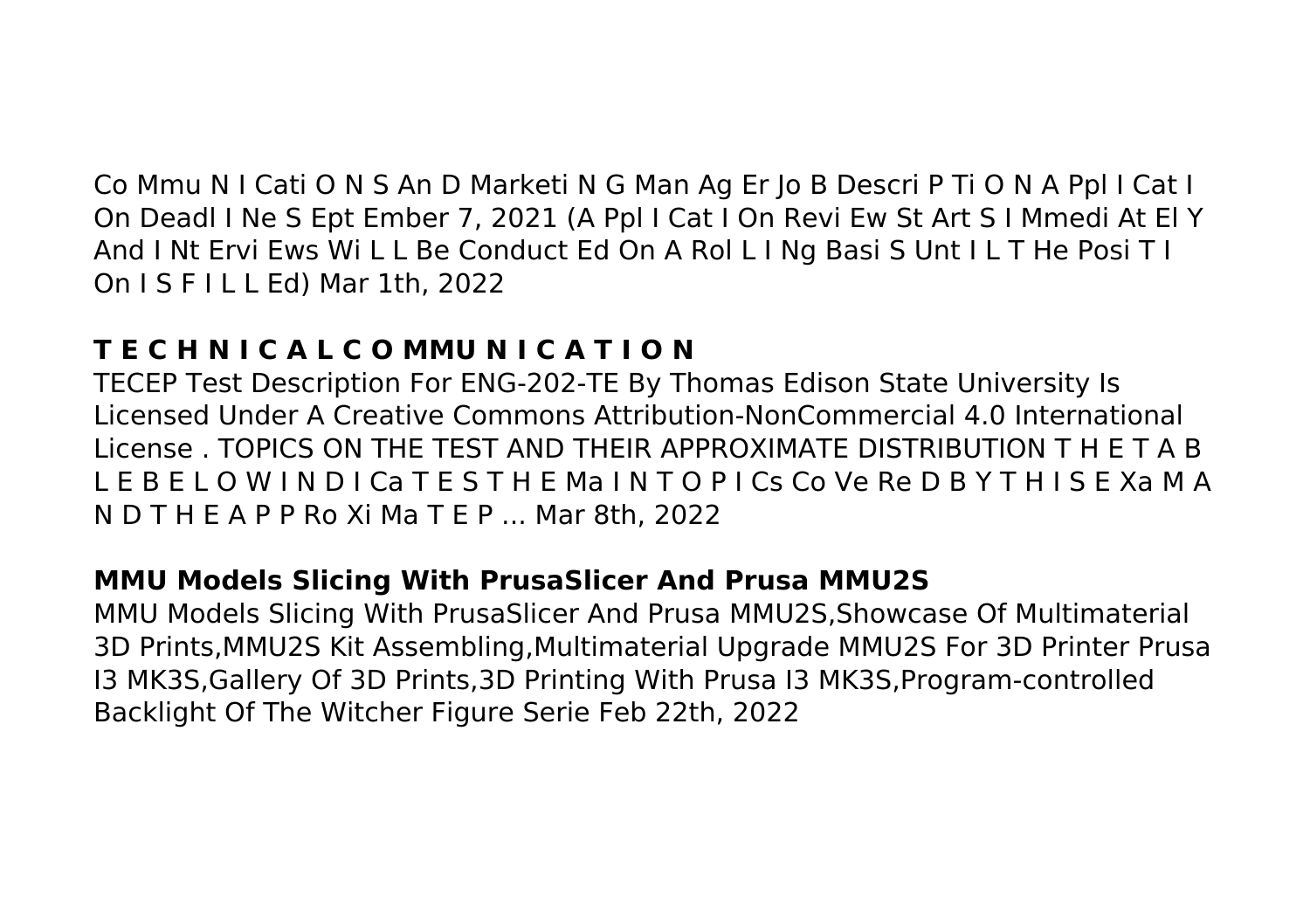Co Mmu N I Cati O N S An D Marketi N G Man Ag Er Jo B Descri P Ti O N A Ppl I Cat I On Deadl I Ne S Ept Ember 7, 2021 (A Ppl I Cat I On Revi Ew St Art S I Mmedi At El Y And I Nt Ervi Ews Wi L L Be Conduct Ed On A Rol L I Ng Basi S Unt I L T He Posi T I On I S F I L L Ed) Mar 1th, 2022

# **T E C H N I C A L C O MMU N I C A T I O N**

TECEP Test Description For ENG-202-TE By Thomas Edison State University Is Licensed Under A Creative Commons Attribution-NonCommercial 4.0 International License . TOPICS ON THE TEST AND THEIR APPROXIMATE DISTRIBUTION T H E T A B L E B E L O W I N D I Ca T E S T H E Ma I N T O P I Cs Co Ve Re D B Y T H I S E Xa M A N D T H E A P P Ro Xi Ma T E P ... Mar 8th, 2022

## **MMU Models Slicing With PrusaSlicer And Prusa MMU2S**

MMU Models Slicing With PrusaSlicer And Prusa MMU2S,Showcase Of Multimaterial 3D Prints,MMU2S Kit Assembling,Multimaterial Upgrade MMU2S For 3D Printer Prusa I3 MK3S,Gallery Of 3D Prints,3D Printing With Prusa I3 MK3S,Program-controlled Backlight Of The Witcher Figure Serie Feb 22th, 2022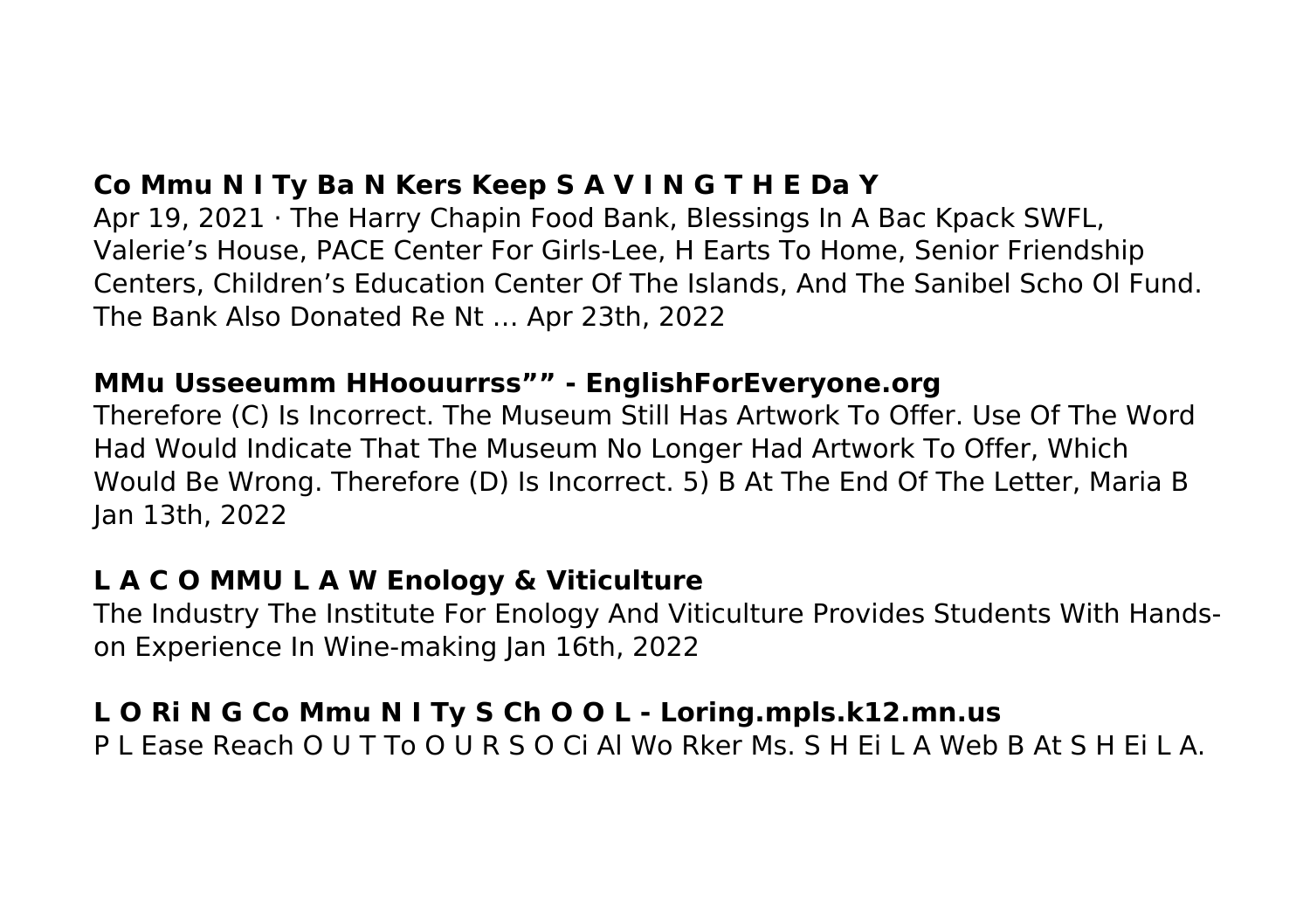# **Co Mmu N I Ty Ba N Kers Keep S A V I N G T H E Da Y**

Apr 19, 2021 · The Harry Chapin Food Bank, Blessings In A Bac Kpack SWFL, Valerie's House, PACE Center For Girls-Lee, H Earts To Home, Senior Friendship Centers, Children's Education Center Of The Islands, And The Sanibel Scho Ol Fund. The Bank Also Donated Re Nt … Apr 23th, 2022

#### **MMu Usseeumm HHoouurrss"" - EnglishForEveryone.org**

Therefore (C) Is Incorrect. The Museum Still Has Artwork To Offer. Use Of The Word Had Would Indicate That The Museum No Longer Had Artwork To Offer, Which Would Be Wrong. Therefore (D) Is Incorrect. 5) B At The End Of The Letter, Maria B Jan 13th, 2022

## **L A C O MMU L A W Enology & Viticulture**

The Industry The Institute For Enology And Viticulture Provides Students With Handson Experience In Wine-making Jan 16th, 2022

# **L O Ri N G Co Mmu N I Ty S Ch O O L - Loring.mpls.k12.mn.us**

P L Ease Reach O U T To O U R S O Ci Al Wo Rker Ms. S H Ei L A Web B At S H Ei L A.